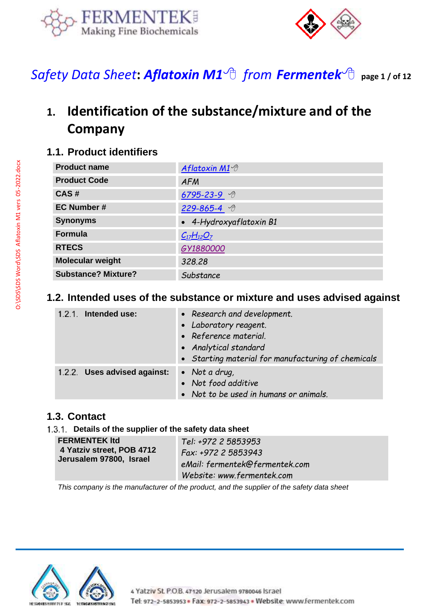



*Safety Data Sheet***:** *[Aflatoxin M1](https://www.fermentek.com/product/aflatoxin-m1) from [Fermentek](https://fermentek.com/)* **page 1 / of <sup>12</sup>**

# **1. Identification of the substance/mixture and of the Company**

### **1.1. Product identifiers**

| <b>Product name</b>        | Aflatoxin M1 <sup>⊕</sup> |
|----------------------------|---------------------------|
| <b>Product Code</b>        | <b>AFM</b>                |
| CAS#                       | $6795 - 23 - 9$           |
| <b>EC Number #</b>         | 229-865-4 予               |
| <b>Synonyms</b>            | • 4-Hydroxyaflatoxin B1   |
| <b>Formula</b>             | $C_{17}H_{12}O_7$         |
| <b>RTECS</b>               | GY1880000                 |
| Molecular weight           | 328.28                    |
| <b>Substance? Mixture?</b> | Substance                 |

#### **1.2. Intended uses of the substance or mixture and uses advised against**

| 1.2.1. Intended use:        | • Research and development.                        |
|-----------------------------|----------------------------------------------------|
|                             | • Laboratory reagent.                              |
|                             | • Reference material.                              |
|                             | • Analytical standard                              |
|                             | • Starting material for manufacturing of chemicals |
| 1.2.2 Uses advised against: | • Not a drug,                                      |
|                             | • Not food additive                                |
|                             | • Not to be used in humans or animals.             |

#### **1.3. Contact**

#### **Details of the supplier of the safety data sheet**

| <b>FERMENTEK Itd</b>      | Tel: +972 2 5853953            |
|---------------------------|--------------------------------|
| 4 Yatziv street, POB 4712 | Fax: +972 2 5853943            |
| Jerusalem 97800, Israel   | eMail: fermentek@fermentek.com |
|                           | Website: www.fermentek.com     |

*This company is the manufacturer of the product, and the supplier of the safety data sheet*

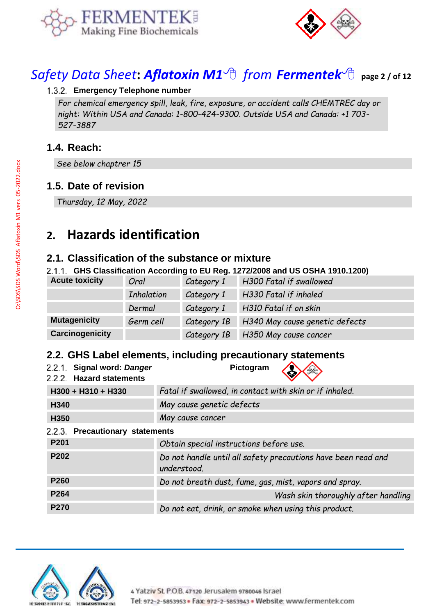



# *Safety Data Sheet***:** *[Aflatoxin M1](https://www.fermentek.com/product/aflatoxin-m1) from [Fermentek](https://fermentek.com/)* **page 2 / of <sup>12</sup>**

#### **Emergency Telephone number**

*For chemical emergency spill, leak, fire, exposure, or accident calls CHEMTREC day or night: Within USA and Canada: 1-800-424-9300. Outside USA and Canada: +1 703- 527-3887*

### **1.4. Reach:**

*See below chaptrer 15*

#### **1.5. Date of revision**

*Thursday, 12 May, 2022*

# **2. Hazards identification**

#### **2.1. Classification of the substance or mixture**

**GHS Classification According to EU Reg. 1272/2008 and US OSHA 1910.1200)**

| <b>Acute toxicity</b> | Oral              | Category 1  | H300 Fatal if swallowed           |
|-----------------------|-------------------|-------------|-----------------------------------|
|                       | <b>Inhalation</b> | Category 1  | H330 Fatal if inhaled             |
|                       | Dermal            | Category 1  | H310 Fatal if on skin             |
| <b>Mutagenicity</b>   | Germ cell         | Category 1B | H340 May cause genetic defects    |
| Carcinogenicity       |                   |             | Category 1B H350 May cause cancer |

#### **2.2. GHS Label elements, including precautionary statements**

| 2.2.1. Signal word: Danger<br>2.2.2. Hazard statements | Pictogram                                                                    |  |
|--------------------------------------------------------|------------------------------------------------------------------------------|--|
| H300 + H310 + H330                                     | Fatal if swallowed, in contact with skin or if inhaled.                      |  |
| H340                                                   | May cause genetic defects                                                    |  |
| H350                                                   | May cause cancer                                                             |  |
| 2.2.3. Precautionary statements                        |                                                                              |  |
| P201                                                   | Obtain special instructions before use.                                      |  |
| P202                                                   | Do not handle until all safety precautions have been read and<br>understood. |  |
| P260                                                   | Do not breath dust, fume, gas, mist, vapors and spray.                       |  |
| P264                                                   | Wash skin thoroughly after handling                                          |  |
| <b>P270</b>                                            | Do not eat, drink, or smoke when using this product.                         |  |

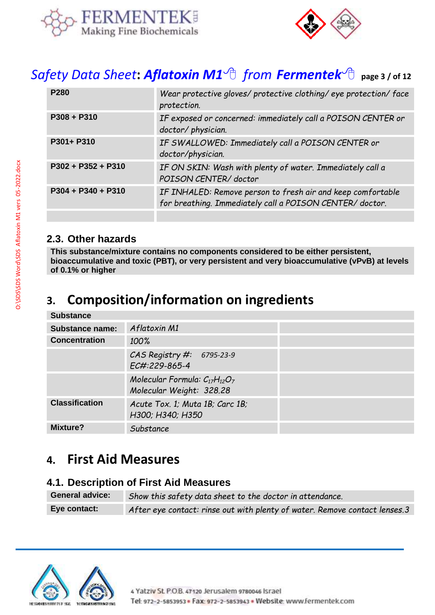



# *Safety Data Sheet***:** *[Aflatoxin M1](https://www.fermentek.com/product/aflatoxin-m1) from [Fermentek](https://fermentek.com/)* **page 3 / of <sup>12</sup>**

| Wear protective gloves/ protective clothing/ eye protection/ face<br>protection.                                        |
|-------------------------------------------------------------------------------------------------------------------------|
| IF exposed or concerned: immediately call a POISON CENTER or<br>doctor/physician.                                       |
| IF SWALLOWED: Immediately call a POISON CENTER or<br>doctor/physician.                                                  |
| IF ON SKIN: Wash with plenty of water. Immediately call a<br>POISON CENTER/doctor                                       |
| IF INHALED: Remove person to fresh air and keep comfortable<br>for breathing. Immediately call a POISON CENTER/ doctor. |
|                                                                                                                         |

#### **2.3. Other hazards**

**This substance/mixture contains no components considered to be either persistent, bioaccumulative and toxic (PBT), or very persistent and very bioaccumulative (vPvB) at levels of 0.1% or higher**

# **3. Composition/information on ingredients**

#### **Substance**

| <b>Substance name:</b> | Aflatoxin M1                                                     |  |
|------------------------|------------------------------------------------------------------|--|
| <b>Concentration</b>   | 100%                                                             |  |
|                        | CAS Registry $#: 6795-23-9$<br>EC#:229-865-4                     |  |
|                        | Molecular Formula: $C_{17}H_{12}O_7$<br>Molecular Weight: 328.28 |  |
| <b>Classification</b>  | Acute Tox. 1; Muta 1B; Carc 1B;<br>H300; H340; H350              |  |
| Mixture?               | Substance                                                        |  |

# **4. First Aid Measures**

#### **4.1. Description of First Aid Measures**

| <b>General advice:</b> | Show this safety data sheet to the doctor in attendance.                   |
|------------------------|----------------------------------------------------------------------------|
| Eye contact:           | After eye contact: rinse out with plenty of water. Remove contact lenses.3 |

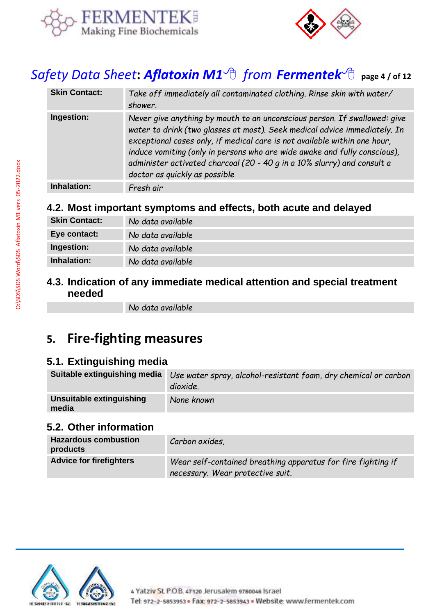



# *Safety Data Sheet***:** *[Aflatoxin M1](https://www.fermentek.com/product/aflatoxin-m1) from [Fermentek](https://fermentek.com/)* **page 4 / of <sup>12</sup>**

| <b>Skin Contact:</b> | Take off immediately all contaminated clothing. Rinse skin with water/<br>shower.                                                                                                                                                                                                                                                                                                                                            |
|----------------------|------------------------------------------------------------------------------------------------------------------------------------------------------------------------------------------------------------------------------------------------------------------------------------------------------------------------------------------------------------------------------------------------------------------------------|
| Ingestion:           | Never give anything by mouth to an unconscious person. If swallowed: give<br>water to drink (two glasses at most). Seek medical advice immediately. In<br>exceptional cases only, if medical care is not available within one hour,<br>induce vomiting (only in persons who are wide awake and fully conscious),<br>administer activated charcoal (20 - 40 g in a 10% slurry) and consult a<br>doctor as quickly as possible |
| Inhalation:          | Fresh air                                                                                                                                                                                                                                                                                                                                                                                                                    |

### **4.2. Most important symptoms and effects, both acute and delayed**

| <b>Skin Contact:</b> | No data available |
|----------------------|-------------------|
| Eye contact:         | No data available |
| Ingestion:           | No data available |
| Inhalation:          | No data available |

### **4.3. Indication of any immediate medical attention and special treatment needed**

*No data available*

# **5. Fire-fighting measures**

### **5.1. Extinguishing media**

| Suitable extinguishing media      | Use water spray, alcohol-resistant foam, dry chemical or carbon<br>dioxide. |
|-----------------------------------|-----------------------------------------------------------------------------|
| Unsuitable extinguishing<br>media | None known                                                                  |

#### **5.2. Other information**

| <b>Hazardous combustion</b><br>products | Carbon oxides,                                                                                   |
|-----------------------------------------|--------------------------------------------------------------------------------------------------|
| <b>Advice for firefighters</b>          | Wear self-contained breathing apparatus for fire fighting if<br>necessary. Wear protective suit. |

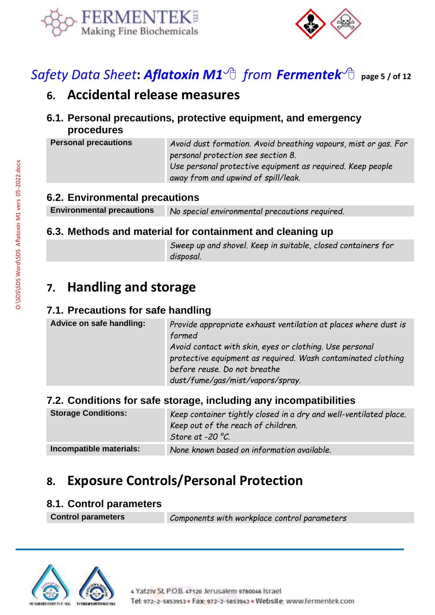



# *Safety Data Sheet***:** *[Aflatoxin M1](https://www.fermentek.com/product/aflatoxin-m1) from [Fermentek](https://fermentek.com/)* **page 5 / of <sup>12</sup>**

# **6. Accidental release measures**

**6.1. Personal precautions, protective equipment, and emergency procedures**

**Personal precautions** *Avoid dust formation. Avoid breathing vapours, mist or gas. For personal protection see section 8. Use personal protective equipment as required. Keep people away from and upwind of spill/leak.*

### **6.2. Environmental precautions**

**Environmental precautions** *No special environmental precautions required.*

### **6.3. Methods and material for containment and cleaning up**

*Sweep up and shovel. Keep in suitable, closed containers for disposal.*

# **7. Handling and storage**

### **7.1. Precautions for safe handling**

| Advice on safe handling: | Provide appropriate exhaust ventilation at places where dust is<br>formed<br>Avoid contact with skin, eyes or clothing. Use personal<br>protective equipment as required. Wash contaminated clothing<br>before reuse. Do not breathe<br>dust/fume/gas/mist/vapors/spray. |
|--------------------------|--------------------------------------------------------------------------------------------------------------------------------------------------------------------------------------------------------------------------------------------------------------------------|
|                          |                                                                                                                                                                                                                                                                          |

### **7.2. Conditions for safe storage, including any incompatibilities**

| <b>Storage Conditions:</b> | Keep container tightly closed in a dry and well-ventilated place.<br>Keep out of the reach of children.<br>Store at -20 $^{\circ}$ C. |
|----------------------------|---------------------------------------------------------------------------------------------------------------------------------------|
| Incompatible materials:    | None known based on information available.                                                                                            |

# **8. Exposure Controls/Personal Protection**

#### **8.1. Control parameters**

**Control parameters** *Components with workplace control parameters*

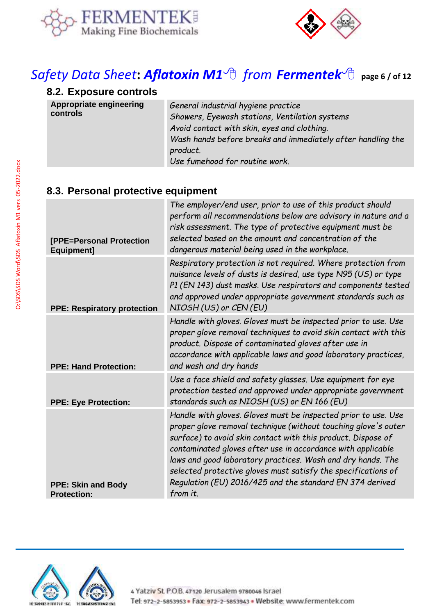



# *Safety Data Sheet***:** *[Aflatoxin M1](https://www.fermentek.com/product/aflatoxin-m1) from [Fermentek](https://fermentek.com/)* **page 6 / of <sup>12</sup>**

# **8.2. Exposure controls**

| Appropriate engineering | General industrial hygiene practice                         |
|-------------------------|-------------------------------------------------------------|
| controls                | Showers, Eyewash stations, Ventilation systems              |
|                         | Avoid contact with skin, eyes and clothing.                 |
|                         | Wash hands before breaks and immediately after handling the |
|                         | product.                                                    |
|                         | Use fumehood for routine work.                              |

# **8.3. Personal protective equipment**

| [PPE=Personal Protection<br>Equipment]          | The employer/end user, prior to use of this product should<br>perform all recommendations below are advisory in nature and a<br>risk assessment. The type of protective equipment must be<br>selected based on the amount and concentration of the<br>dangerous material being used in the workplace.                                                                                                                                                                   |
|-------------------------------------------------|-------------------------------------------------------------------------------------------------------------------------------------------------------------------------------------------------------------------------------------------------------------------------------------------------------------------------------------------------------------------------------------------------------------------------------------------------------------------------|
| <b>PPE: Respiratory protection</b>              | Respiratory protection is not required. Where protection from<br>nuisance levels of dusts is desired, use type N95 (US) or type<br>P1 (EN 143) dust masks. Use respirators and components tested<br>and approved under appropriate government standards such as<br>NIOSH (US) or CEN (EU)                                                                                                                                                                               |
| <b>PPE: Hand Protection:</b>                    | Handle with gloves. Gloves must be inspected prior to use. Use<br>proper glove removal techniques to avoid skin contact with this<br>product. Dispose of contaminated gloves after use in<br>accordance with applicable laws and good laboratory practices,<br>and wash and dry hands                                                                                                                                                                                   |
| <b>PPE: Eye Protection:</b>                     | Use a face shield and safety glasses. Use equipment for eye<br>protection tested and approved under appropriate government<br>standards such as NIOSH (US) or EN 166 (EU)                                                                                                                                                                                                                                                                                               |
| <b>PPE: Skin and Body</b><br><b>Protection:</b> | Handle with gloves. Gloves must be inspected prior to use. Use<br>proper glove removal technique (without touching glove's outer<br>surface) to avoid skin contact with this product. Dispose of<br>contaminated gloves after use in accordance with applicable<br>laws and good laboratory practices. Wash and dry hands. The<br>selected protective gloves must satisfy the specifications of<br>Regulation (EU) 2016/425 and the standard EN 374 derived<br>from it. |
|                                                 |                                                                                                                                                                                                                                                                                                                                                                                                                                                                         |

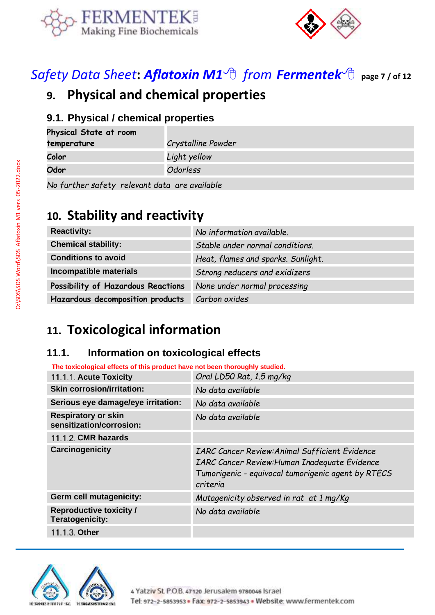



*Safety Data Sheet***:** *[Aflatoxin M1](https://www.fermentek.com/product/aflatoxin-m1) from [Fermentek](https://fermentek.com/)* **page 7 / of <sup>12</sup>**

# **9. Physical and chemical properties**

### **9.1. Physical / chemical properties**

| Physical State at room                        |                    |  |
|-----------------------------------------------|--------------------|--|
| temperature                                   | Crystalline Powder |  |
| Color                                         | Light yellow       |  |
| Odor                                          | Odorless           |  |
| No funthon sofotu volovent dete era quailable |                    |  |

*No further safety relevant data are available*

# **10. Stability and reactivity**

| <b>Reactivity:</b>                 | No information available.          |
|------------------------------------|------------------------------------|
| <b>Chemical stability:</b>         | Stable under normal conditions.    |
| <b>Conditions to avoid</b>         | Heat, flames and sparks. Sunlight. |
| Incompatible materials             | Strong reducers and exidizers      |
| Possibility of Hazardous Reactions | None under normal processing       |
| Hazardous decomposition products   | Carbon oxides                      |

# **11. Toxicological information**

# **11.1. Information on toxicological effects**

| The toxicological effects of this product have not been thoroughly studied. |                                                                                                                                                                                 |  |  |
|-----------------------------------------------------------------------------|---------------------------------------------------------------------------------------------------------------------------------------------------------------------------------|--|--|
| 11.1.1. Acute Toxicity                                                      | Oral LD50 Rat, 1.5 mg/kg                                                                                                                                                        |  |  |
| <b>Skin corrosion/irritation:</b>                                           | No data available                                                                                                                                                               |  |  |
| Serious eye damage/eye irritation:                                          | No data available                                                                                                                                                               |  |  |
| <b>Respiratory or skin</b><br>sensitization/corrosion:                      | No data available                                                                                                                                                               |  |  |
| 11.1.2. CMR hazards                                                         |                                                                                                                                                                                 |  |  |
| <b>Carcinogenicity</b>                                                      | <b>IARC Cancer Review: Animal Sufficient Evidence</b><br><b>IARC Cancer Review: Human Inadequate Evidence</b><br>Tumorigenic - equivocal tumorigenic agent by RTECS<br>criteria |  |  |
| Germ cell mutagenicity:                                                     | Mutagenicity observed in rat at 1 mg/Kg                                                                                                                                         |  |  |
| <b>Reproductive toxicity /</b><br>Teratogenicity:                           | No data available                                                                                                                                                               |  |  |
| 11.1.3. Other                                                               |                                                                                                                                                                                 |  |  |

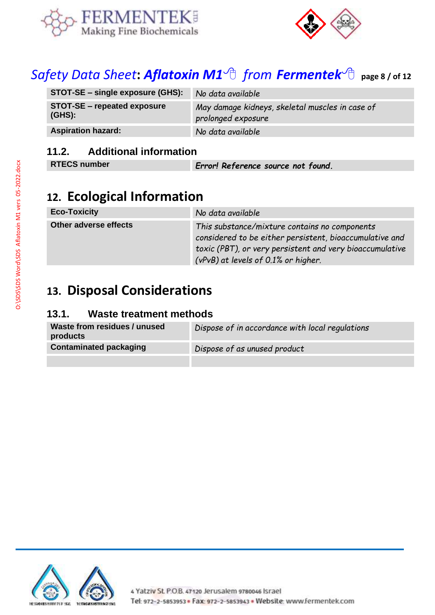



# *Safety Data Sheet***:** *[Aflatoxin M1](https://www.fermentek.com/product/aflatoxin-m1) from [Fermentek](https://fermentek.com/)* **page 8 / of <sup>12</sup>**

| STOT-SE – single exposure (GHS):                | No data available                                                     |
|-------------------------------------------------|-----------------------------------------------------------------------|
| <b>STOT-SE - repeated exposure</b><br>$(GHS)$ : | May damage kidneys, skeletal muscles in case of<br>prolonged exposure |
| <b>Aspiration hazard:</b>                       | No data available                                                     |

## **11.2. Additional information**

| <b>RTECS number</b> | Error! Reference source not found. |
|---------------------|------------------------------------|

# **12. Ecological Information**

| <b>Eco-Toxicity</b>   | No data available                                                                                                                                                                                           |
|-----------------------|-------------------------------------------------------------------------------------------------------------------------------------------------------------------------------------------------------------|
| Other adverse effects | This substance/mixture contains no components<br>considered to be either persistent, bioaccumulative and<br>toxic (PBT), or very persistent and very bioaccumulative<br>(vPvB) at levels of 0.1% or higher. |

# **13. Disposal Considerations**

#### **13.1. Waste treatment methods**

| Waste from residues / unused<br>products | Dispose of in accordance with local regulations |
|------------------------------------------|-------------------------------------------------|
| <b>Contaminated packaging</b>            | Dispose of as unused product                    |

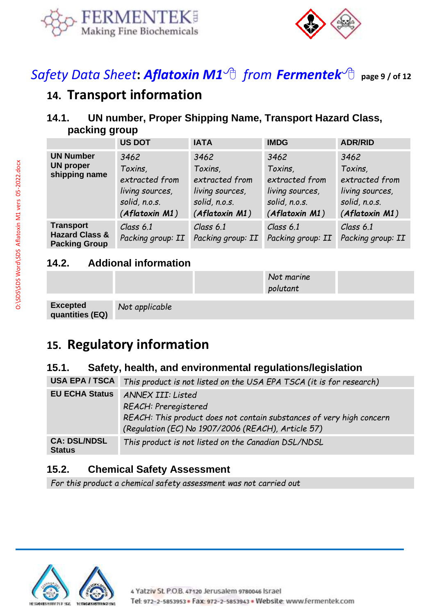



*Safety Data Sheet***:** *[Aflatoxin M1](https://www.fermentek.com/product/aflatoxin-m1) from [Fermentek](https://fermentek.com/)* **page 9 / of <sup>12</sup>**

# **14. Transport information**

# **14.1. UN number, Proper Shipping Name, Transport Hazard Class, packing group**

|                                                                       | <b>US DOT</b>                                                                           | <b>IATA</b>                                                                             | <b>IMDG</b>                                                                             | <b>ADR/RID</b>                                                                          |
|-----------------------------------------------------------------------|-----------------------------------------------------------------------------------------|-----------------------------------------------------------------------------------------|-----------------------------------------------------------------------------------------|-----------------------------------------------------------------------------------------|
| <b>UN Number</b><br><b>UN proper</b><br>shipping name                 | 3462<br>Toxins,<br>extracted from<br>living sources,<br>solid, n.o.s.<br>(Aflatoxin M1) | 3462<br>Toxins,<br>extracted from<br>living sources,<br>solid, n.o.s.<br>(Aflatoxin M1) | 3462<br>Toxins,<br>extracted from<br>living sources,<br>solid, n.o.s.<br>(Aflatoxin M1) | 3462<br>Toxins,<br>extracted from<br>living sources,<br>solid, n.o.s.<br>(Aflatoxin M1) |
| <b>Transport</b><br><b>Hazard Class &amp;</b><br><b>Packing Group</b> | Class 6.1<br>Packing group: II                                                          | Class $6.1$<br>Packing group: II                                                        | Class $6.1$<br>Packing group: II                                                        | Class 6.1<br>Packing group: II                                                          |

### **14.2. Addional information**

|                             |                | .<br>polutant |  |
|-----------------------------|----------------|---------------|--|
| Excepted<br>quantities (EQ) | Not applicable |               |  |

*Not marine* 

# **15. Regulatory information**

# **15.1. Safety, health, and environmental regulations/legislation**

| <b>USA EPA / TSCA</b>                | This product is not listed on the USA EPA TSCA (it is for research)                                                                                                     |
|--------------------------------------|-------------------------------------------------------------------------------------------------------------------------------------------------------------------------|
| <b>EU ECHA Status</b>                | ANNEX III: Listed<br>REACH: Preregistered<br>REACH: This product does not contain substances of very high concern<br>(Regulation (EC) No 1907/2006 (REACH), Article 57) |
| <b>CA: DSL/NDSL</b><br><b>Status</b> | This product is not listed on the Canadian DSL/NDSL                                                                                                                     |

### **15.2. Chemical Safety Assessment**

*For this product a chemical safety assessment was not carried out*

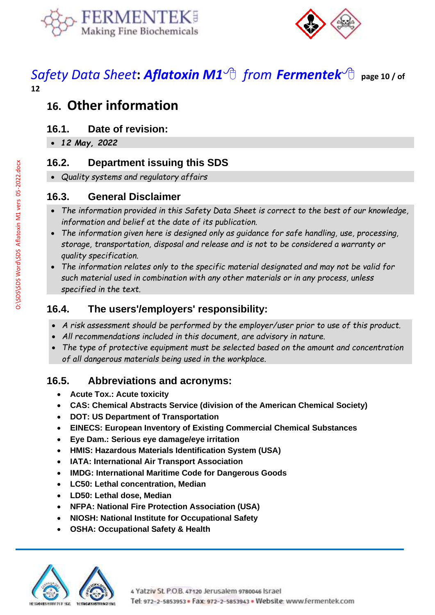



# *Safety Data Sheet***:** *[Aflatoxin M1](https://www.fermentek.com/product/aflatoxin-m1) from [Fermentek](https://fermentek.com/)* **page 10 / of 12**

# **16. Other information**

### **16.1. Date of revision:**

• *12 May, 2022*

### **16.2. Department issuing this SDS**

• *Quality systems and regulatory affairs*

### **16.3. General Disclaimer**

- *The information provided in this Safety Data Sheet is correct to the best of our knowledge, information and belief at the date of its publication.*
- *The information given here is designed only as guidance for safe handling, use, processing, storage, transportation, disposal and release and is not to be considered a warranty or quality specification.*
- *The information relates only to the specific material designated and may not be valid for such material used in combination with any other materials or in any process, unless specified in the text.*

## **16.4. The users'/employers' responsibility:**

- *A risk assessment should be performed by the employer/user prior to use of this product.*
- *All recommendations included in this document, are advisory in nature.*
- *The type of protective equipment must be selected based on the amount and concentration of all dangerous materials being used in the workplace.*

# **16.5. Abbreviations and acronyms:**

- **Acute Tox.: Acute toxicity**
- **CAS: Chemical Abstracts Service (division of the American Chemical Society)**
- **DOT: US Department of Transportation**
- **EINECS: European Inventory of Existing Commercial Chemical Substances**
- **Eye Dam.: Serious eye damage/eye irritation**
- **HMIS: Hazardous Materials Identification System (USA)**
- **IATA: International Air Transport Association**
- **IMDG: International Maritime Code for Dangerous Goods**
- **LC50: Lethal concentration, Median**
- **LD50: Lethal dose, Median**
- **NFPA: National Fire Protection Association (USA)**
- **NIOSH: National Institute for Occupational Safety**
- **OSHA: Occupational Safety & Health**

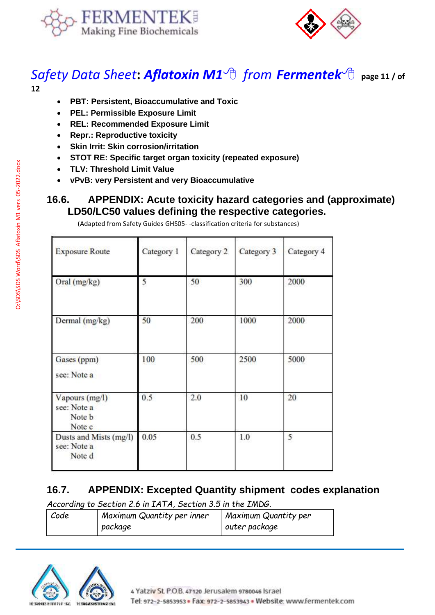



### *Safety Data Sheet***:** *[Aflatoxin M1](https://www.fermentek.com/product/aflatoxin-m1) from [Fermentek](https://fermentek.com/)* **page 11 / of 12**

- **PBT: Persistent, Bioaccumulative and Toxic**
- **PEL: Permissible Exposure Limit**
- **REL: Recommended Exposure Limit**
- **Repr.: Reproductive toxicity**
- **Skin Irrit: Skin corrosion/irritation**
- **STOT RE: Specific target organ toxicity (repeated exposure)**
- **TLV: Threshold Limit Value**
- **vPvB: very Persistent and very Bioaccumulative**

#### **16.6. APPENDIX: Acute toxicity hazard categories and (approximate) LD50/LC50 values defining the respective categories.**

| <b>Exposure Route</b>                                    | Category 1 | Category 2 | Category 3 | Category 4 |
|----------------------------------------------------------|------------|------------|------------|------------|
| Oral (mg/kg)                                             | 5          | 50         | 300        | 2000       |
| Dermal (mg/kg)                                           | 50         | 200        | 1000       | 2000       |
| Gases (ppm)<br>see: Note a                               | 100        | 500        | 2500       | 5000       |
| Vapours (mg/l)<br>see: Note a<br>Note <b>b</b><br>Note c | 0.5        | 2.0        | 10         | 20         |
| Dusts and Mists (mg/l)<br>see: Note a<br>Note d          | 0.05       | 0.5        | 1.0        | 5          |

(Adapted from Safety Guides GHS05- -classification criteria for substances)

### **16.7. APPENDIX: Excepted Quantity shipment codes explanation**

*According to Section 2.6 in IATA, Section 3.5 in the IMDG.* 

| Code | Maximum Quantity per inner | Maximum Quantity per |  |
|------|----------------------------|----------------------|--|
|      | package                    | outer package        |  |